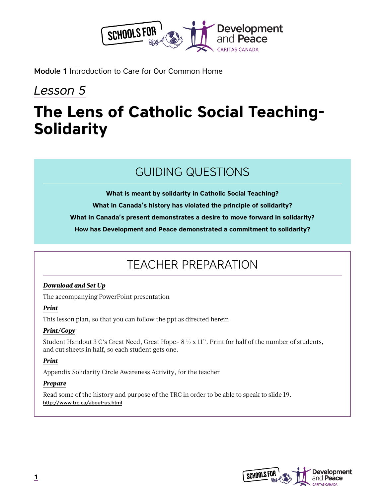

Module 1 Introduction to Care for Our Common Home

## *Lesson 5*

# **The Lens of Catholic Social Teaching-Solidarity**

### GUIDING QUESTIONS

**What is meant by solidarity in Catholic Social Teaching?** 

**What in Canada's history has violated the principle of solidarity?**

**What in Canada's present demonstrates a desire to move forward in solidarity?**

**How has Development and Peace demonstrated a commitment to solidarity?**

## TEACHER PREPARATION

#### *Download and Set Up*

The accompanying PowerPoint presentation

#### *Print*

This lesson plan, so that you can follow the ppt as directed herein

#### *Print/Copy*

Student Handout 3 C's Great Need, Great Hope- 8 ½ x 11". Print for half of the number of students, and cut sheets in half, so each student gets one.

#### *Print*

Appendix Solidarity Circle Awareness Activity, for the teacher

#### *Prepare*

Read some of the history and purpose of the TRC in order to be able to speak to slide 19. <http://www.trc.ca/about-us.html>

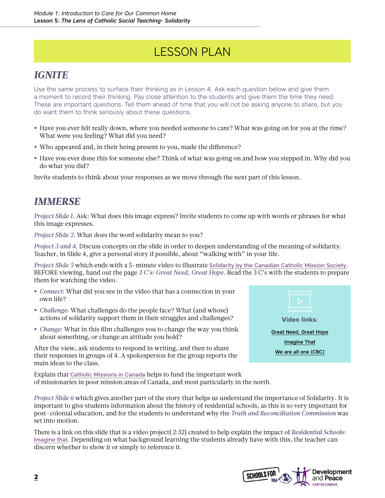## LESSON PLAN

### *IGNITE*

Use the same process to surface their thinking as in Lesson 4. Ask each question below and give them a moment to record their thinking. Pay close attention to the students and give them the time they need. These are important questions. Tell them ahead of time that you will not be asking anyone to share, but you do want them to think seriously about these questions.

- **•** Have you ever felt really down, where you needed someone to care? What was going on for you at the time? What were you feeling? What did you need?
- **•** Who appeared and, in their being present to you, made the difference?
- **•** Have you ever done this for someone else? Think of what was going on and how you stepped in. Why did you do what you did?

Invite students to think about your responses as we move through the next part of this lesson.

### *IMMERSE*

*Project Slide 1*. Ask: What does this image express? Invite students to come up with words or phrases for what this image expresses.

*Project Slide 2*. What does the word solidarity mean to you?

*Project 3 and 4*. Discuss concepts on the slide in order to deepen understanding of the meaning of solidarity. Teacher, in Slide 4, give a personal story if possible, about "walking with" in your life.

*Project Slide 5* which ends with a 5-minute video to illustrate [Solidarity by the Canadian Catholic Mission Society](https://www.youtube.com/watch?v=hD6xGAxAaro). BEFORE viewing, hand out the page *3 C's: Great Need, Great Hope*. Read the 3 C's with the students to prepare them for watching the video.

- **•** *Connect*: What did you see in the video that has a connection in your own life?
- **•** *Challenge*: What challenges do the people face? What (and whose) actions of solidarity support them in their struggles and challenges?
- **•** *Change*: What in this film challenges you to change the way you think about something, or change an attitude you hold?

After the view, ask students to respond in writing, and then to share their responses in groups of 4. A spokesperson for the group reports the main ideas to the class.

Explain that [Catholic Missions in Canada](https://cmic.info/) helps to fund the important work of missionaries in poor mission areas of Canada, and most particularly in the north.



*Project Slide 6* which gives another part of the story that helps us understand the importance of Solidarity. It is important to give students information about the history of residential schools, as this is so very important for post-colonial education, and for the students to understand why the *Truth and Reconciliation Commission* was set into motion.

There is a link on this slide that is a video project( 2:32) created to help explain the impact of *Residential Schools*: [Imagine that](https://vimeo.com/11851507). Depending on what background learning the students already have with this, the teacher can discern whether to show it or simply to reference it.

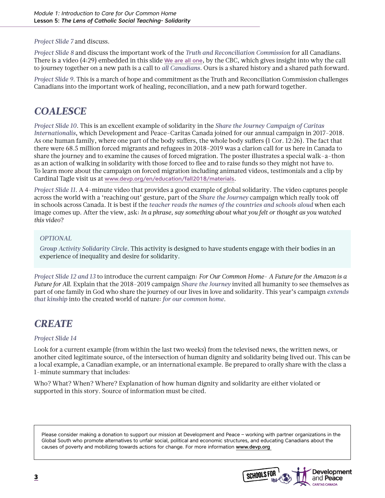*Project Slide 7* and discuss.

*Project Slide 8* and discuss the important work of the *Truth and Reconciliation Commission* for all Canadians. There is a video (4:29) embedded in this slide [We are all one](https://www.cbc.ca/2017/canadais/namwayut-we-are-all-one-truth-and-reconciliation-in-canada-1.4446684), by the CBC, which gives insight into why the call to journey together on a new path is a call to *all Canadians*. Ours is a shared history and a shared path forward.

*Project Slide 9*. This is a march of hope and commitment as the Truth and Reconciliation Commission challenges Canadians into the important work of healing, reconciliation, and a new path forward together.

### *COALESCE*

*Project Slide 10*. This is an excellent example of solidarity in the *Share the Journey Campaign of Caritas Internationalis*, which Development and Peace-Caritas Canada joined for our annual campaign in 2017-2018. As one human family, where one part of the body suffers, the whole body suffers (1 Cor. 12:26). The fact that there were 68.5 million forced migrants and refugees in 2018-2019 was a clarion call for us here in Canada to share the journey and to examine the causes of forced migration. The poster illustrates a special walk-a-thon as an action of walking in solidarity with those forced to flee and to raise funds so they might not have to. To learn more about the campaign on forced migration including animated videos, testimonials and a clip by Cardinal Tagle visit us at [www.devp.org/en/education/fall2018/materials](http://www.devp.org/en/education/fall2018/materials).

*Project Slide 11*. A 4-minute video that provides a good example of global solidarity. The video captures people across the world with a 'reaching out' gesture, part of the *Share the Journey* campaign which really took off in schools across Canada. It is best if the *teacher reads the names of the countries and schools aloud* when each image comes up. After the view, ask: *In a phrase, say something about what you felt or thought as you watched this video*?

#### *OPTIONAL*

*Group Activity Solidarity Circle*. This activity is designed to have students engage with their bodies in an experience of inequality and desire for solidarity.

*Project Slide 12 and 13* to introduce the current campaign: *For Our Common Home- A Future for the Amazon is a Future for All*. Explain that the 2018-2019 campaign *Share the Journey* invited all humanity to see themselves as part of one family in God who share the journey of our lives in love and solidarity. This year's campaign *extends that kinship* into the created world of nature: *for our common home*.

### *CREATE*

#### *Project Slide 14*

Look for a current example (from within the last two weeks) from the televised news, the written news, or another cited legitimate source, of the intersection of human dignity and solidarity being lived out. This can be a local example, a Canadian example, or an international example. Be prepared to orally share with the class a 1-minute summary that includes:

Who? What? When? Where? Explanation of how human dignity and solidarity are either violated or supported in this story. Source of information must be cited.

Please consider making a donation to support our mission at Development and Peace – working with partner organizations in the Global South who promote alternatives to unfair social, political and economic structures, and educating Canadians about the causes of poverty and mobilizing towards actions for change. For more information www.devp.org

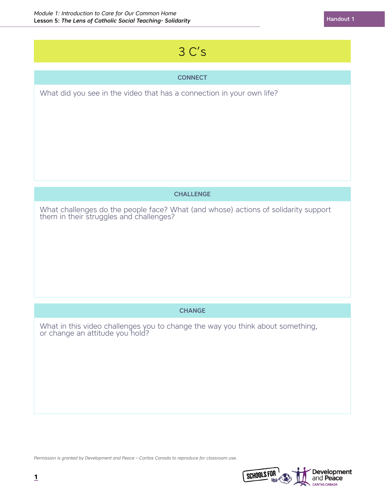## 3 C's

#### **CONNECT**

What did you see in the video that has a connection in your own life?

#### **CHALLENGE**

What challenges do the people face? What (and whose) actions of solidarity support them in their struggles and challenges?

#### **CHANGE**

What in this video challenges you to change the way you think about something, or change an attitude you hold?

*Permission is granted by Development and Peace – Caritas Canada to reproduce for classroom use.*

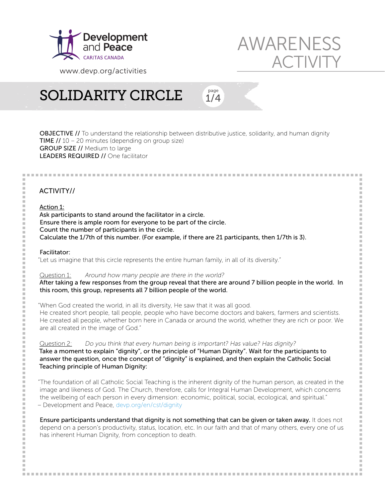

www.devp.org/activities

# SOLIDARITY CIRCLE

1/4 page

**OBJECTIVE //** To understand the relationship between distributive justice, solidarity, and human dignity **TIME //**  $10 - 20$  minutes (depending on group size) GROUP SIZE // Medium to large LEADERS REQUIRED // One facilitator

#### ACTIVITY//

#### Action 1:

Ask participants to stand around the facilitator in a circle. Ensure there is ample room for everyone to be part of the circle. Count the number of participants in the circle. Calculate the 1/7th of this number. (For example, if there are 21 participants, then 1/7th is 3).

#### Facilitator:

"Let us imagine that this circle represents the entire human family, in all of its diversity."

#### Question 1: Around how many people are there in the world?

After taking a few responses from the group reveal that there are around 7 billion people in the world. In this room, this group, represents all 7 billion people of the world.

"When God created the world, in all its diversity, He saw that it was all good. He created short people, tall people, people who have become doctors and bakers, farmers and scientists. He created all people, whether born here in Canada or around the world, whether they are rich or poor. We are all created in the image of God."

Question 2: Do you think that every human being is important? Has value? Has dignity? Take a moment to explain "dignity", or the principle of "Human Dignity". Wait for the participants to answer the question, once the concept of "dignity" is explained, and then explain the Catholic Social Teaching principle of Human Dignity:

"The foundation of all Catholic Social Teaching is the inherent dignity of the human person, as created in the image and likeness of God. The Church, therefore, calls for Integral Human Development, which concerns the wellbeing of each person in every dimension: economic, political, social, ecological, and spiritual." – Development and Peace, devp.org/en/cst/dignity

Ensure participants understand that dignity is not something that can be given or taken away. It does not depend on a person's productivity, status, location, etc. In our faith and that of many others, every one of us has inherent Human Dignity, from conception to death.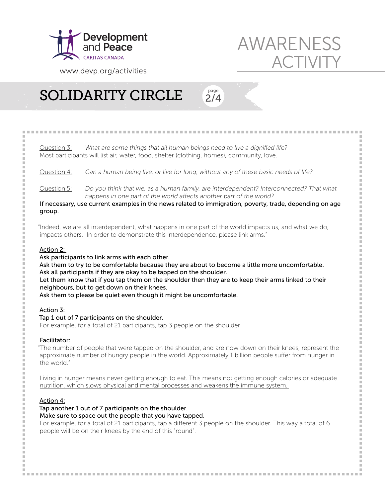

www.devp.org/activities

# SOLIDARITY CIRCLE

 $Question 3$ : What are some things that all human beings need to live a dignified life? Most participants will list air, water, food, shelter (clothing, homes), community, love. Question 4: Can a human being live, or live for long, without any of these basic needs of life? Question  $5$ : Do you think that we, as a human family, are interdependent? Interconnected? That what happens in one part of the world affects another part of the world? If necessary, use current examples in the news related to immigration, poverty, trade, depending on age group. "Indeed, we are all interdependent, what happens in one part of the world impacts us, and what we do, impacts others. In order to demonstrate this interdependence, please link arms." Action 2: Ask participants to link arms with each other. Ask them to try to be comfortable because they are about to become a little more uncomfortable. Ask all participants if they are okay to be tapped on the shoulder. Let them know that if you tap them on the shoulder then they are to keep their arms linked to their neighbours, but to get down on their knees. Ask them to please be quiet even though it might be uncomfortable. Action 3: Tap 1 out of 7 participants on the shoulder. For example, for a total of 21 participants, tap 3 people on the shoulder

2/4 page

#### Facilitator:

E

"The number of people that were tapped on the shoulder, and are now down on their knees, represent the approximate number of hungry people in the world. Approximately 1 billion people suffer from hunger in the world."

Living in hunger means never getting enough to eat. This means not getting enough calories or adequate nutrition, which slows physical and mental processes and weakens the immune system.

#### Action 4:

Tap another 1 out of 7 participants on the shoulder.

Make sure to space out the people that you have tapped.

For example, for a total of 21 participants, tap a different 3 people on the shoulder. This way a total of 6 people will be on their knees by the end of this "round".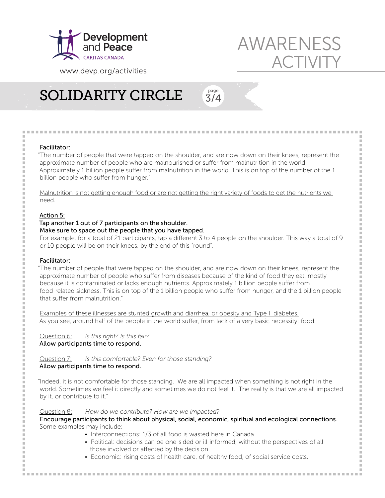

www.devp.org/activities

# SOLIDARITY CIRCLE

Facilitator:

Ė  $\overline{a}$ 

"The number of people that were tapped on the shoulder, and are now down on their knees, represent the approximate number of people who are malnourished or suffer from malnutrition in the world. Approximately 1 billion people suffer from malnutrition in the world. This is on top of the number of the 1 billion people who suffer from hunger."

3/4 page

Malnutrition is not getting enough food or are not getting the right variety of foods to get the nutrients we need.

#### Action 5:

#### Tap another 1 out of 7 participants on the shoulder.

#### Make sure to space out the people that you have tapped.

For example, for a total of 21 participants, tap a different 3 to 4 people on the shoulder. This way a total of 9 or 10 people will be on their knees, by the end of this "round".

#### Facilitator:

"The number of people that were tapped on the shoulder, and are now down on their knees, represent the approximate number of people who suffer from diseases because of the kind of food they eat, mostly because it is contaminated or lacks enough nutrients. Approximately 1 billion people suffer from food-related sickness. This is on top of the 1 billion people who suffer from hunger, and the 1 billion people that suffer from malnutrition."

Examples of these illnesses are stunted growth and diarrhea, or obesity and Type II diabetes. As you see, around half of the people in the world suffer, from lack of a very basic necessity: food.

Question 6: Is this right? Is this fair? Allow participants time to respond.

Question 7: Is this comfortable? Even for those standing? Allow participants time to respond.

"Indeed, it is not comfortable for those standing. We are all impacted when something is not right in the world. Sometimes we feel it directly and sometimes we do not feel it. The reality is that we are all impacted by it, or contribute to it."

Question 8: How do we contribute? How are we impacted? Encourage participants to think about physical, social, economic, spiritual and ecological connections. Some examples may include:

- Interconnections: 1/3 of all food is wasted here in Canada
- Political: decisions can be one-sided or ill-informed, without the perspectives of all those involved or affected by the decision.
- Economic: rising costs of health care, of healthy food, of social service costs.